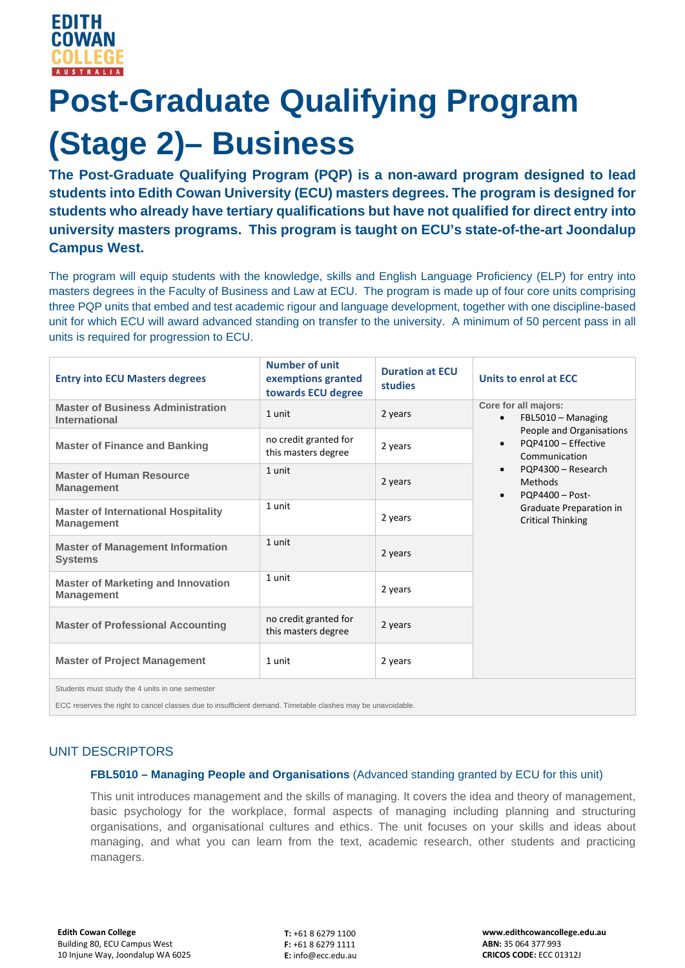# **Post-Graduate Qualifying Program (Stage 2)– Business**

**The Post-Graduate Qualifying Program (PQP) is a non-award program designed to lead students into Edith Cowan University (ECU) masters degrees. The program is designed for students who already have tertiary qualifications but have not qualified for direct entry into university masters programs. This program is taught on ECU's state-of-the-art Joondalup Campus West.**

The program will equip students with the knowledge, skills and English Language Proficiency (ELP) for entry into masters degrees in the Faculty of Business and Law at ECU. The program is made up of four core units comprising three PQP units that embed and test academic rigour and language development, together with one discipline-based unit for which ECU will award advanced standing on transfer to the university. A minimum of 50 percent pass in all units is required for progression to ECU.

| <b>Entry into ECU Masters degrees</b>                           | <b>Number of unit</b><br>exemptions granted<br>towards ECU degree | <b>Duration at ECU</b><br>studies | Units to enrol at ECC                                                                                                                                                                                                                                                                  |
|-----------------------------------------------------------------|-------------------------------------------------------------------|-----------------------------------|----------------------------------------------------------------------------------------------------------------------------------------------------------------------------------------------------------------------------------------------------------------------------------------|
| <b>Master of Business Administration</b><br>International       | 1 unit                                                            | 2 years                           | Core for all majors:<br>FBL5010 - Managing<br>$\bullet$<br>People and Organisations<br>PQP4100 - Effective<br>$\bullet$<br>Communication<br>PQP4300 - Research<br>$\bullet$<br><b>Methods</b><br>$PQP4400 - Post-$<br>$\bullet$<br>Graduate Preparation in<br><b>Critical Thinking</b> |
| <b>Master of Finance and Banking</b>                            | no credit granted for<br>this masters degree                      | 2 years                           |                                                                                                                                                                                                                                                                                        |
| <b>Master of Human Resource</b><br><b>Management</b>            | 1 unit                                                            | 2 years                           |                                                                                                                                                                                                                                                                                        |
| <b>Master of International Hospitality</b><br><b>Management</b> | 1 unit                                                            | 2 years                           |                                                                                                                                                                                                                                                                                        |
| <b>Master of Management Information</b><br><b>Systems</b>       | 1 unit                                                            | 2 years                           |                                                                                                                                                                                                                                                                                        |
| <b>Master of Marketing and Innovation</b><br><b>Management</b>  | 1 unit                                                            | 2 years                           |                                                                                                                                                                                                                                                                                        |
| <b>Master of Professional Accounting</b>                        | no credit granted for<br>this masters degree                      | 2 years                           |                                                                                                                                                                                                                                                                                        |
| <b>Master of Project Management</b>                             | 1 unit                                                            | 2 years                           |                                                                                                                                                                                                                                                                                        |
| Students must study the 4 units in one semester                 |                                                                   |                                   |                                                                                                                                                                                                                                                                                        |

ECC reserves the right to cancel classes due to insufficient demand. Timetable clashes may be unavoidable.

## UNIT DESCRIPTORS

### **FBL5010 – Managing People and Organisations** (Advanced standing granted by ECU for this unit)

This unit introduces management and the skills of managing. It covers the idea and theory of management, basic psychology for the workplace, formal aspects of managing including planning and structuring organisations, and organisational cultures and ethics. The unit focuses on your skills and ideas about managing, and what you can learn from the text, academic research, other students and practicing managers.